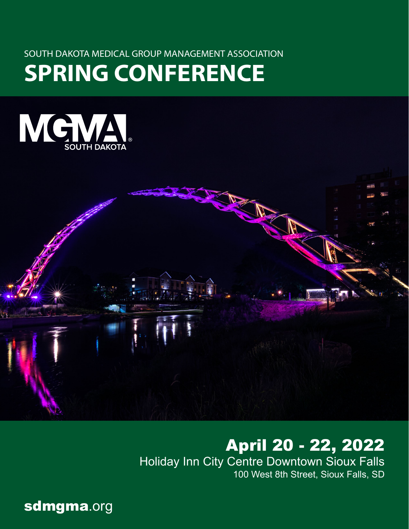# SOUTH DAKOTA MEDICAL GROUP MANAGEMENT ASSOCIATION

# **SPRING CONFERENCE**





# April 20 - 22, 2022

Holiday Inn City Centre Downtown Sioux Falls 100 West 8th Street, Sioux Falls, SD

sdmgma.org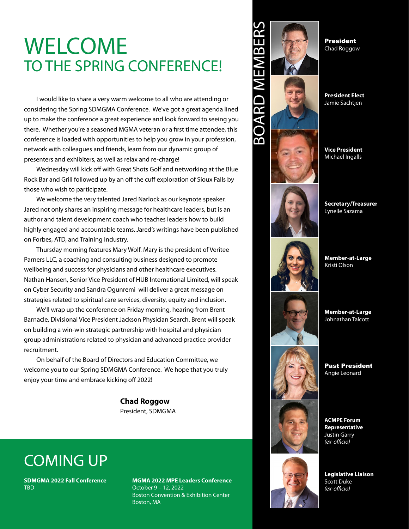# WELCOME TO THE SPRING CONFERENCE!

I would like to share a very warm welcome to all who are attending or considering the Spring SDMGMA Conference. We've got a great agenda lined up to make the conference a great experience and look forward to seeing you there. Whether you're a seasoned MGMA veteran or a first time attendee, this conference is loaded with opportunities to help you grow in your profession, network with colleagues and friends, learn from our dynamic group of presenters and exhibiters, as well as relax and re-charge!

Wednesday will kick off with Great Shots Golf and networking at the Blue Rock Bar and Grill followed up by an off the cuff exploration of Sioux Falls by those who wish to participate.

We welcome the very talented Jared Narlock as our keynote speaker. Jared not only shares an inspiring message for healthcare leaders, but is an author and talent development coach who teaches leaders how to build highly engaged and accountable teams. Jared's writings have been published on Forbes, ATD, and Training Industry.

Thursday morning features Mary Wolf. Mary is the president of Veritee Parners LLC, a coaching and consulting business designed to promote wellbeing and success for physicians and other healthcare executives. Nathan Hansen, Senior Vice President of HUB International Limited, will speak on Cyber Security and Sandra Ogunremi will deliver a great message on strategies related to spiritual care services, diversity, equity and inclusion.

We'll wrap up the conference on Friday morning, hearing from Brent Barnacle, Divisional Vice President Jackson Physician Search. Brent will speak on building a win-win strategic partnership with hospital and physician group administrations related to physician and advanced practice provider recruitment.

On behalf of the Board of Directors and Education Committee, we welcome you to our Spring SDMGMA Conference. We hope that you truly enjoy your time and embrace kicking off 2022!

> **Chad Roggow** President, SDMGMA

# COMING UP

**SDMGMA 2022 Fall Conference TRD** 

**MGMA 2022 MPE Leaders Conference** October 9 – 12, 2022 Boston Convention & Exhibition Center Boston, MA



President Chad Roggow

**President Elect** Jamie Sachtjen

**Vice President** Michael Ingalls

**Secretary/Treasurer** Lynelle Sazama

**Member-at-Large** Kristi Olson

**Member-at-Large** Johnathan Talcott

Past President Angie Leonard

**ACMPE Forum Representative** Justin Garry *(ex-officio)*

**Legislative Liaison** Scott Duke *(ex-officio)*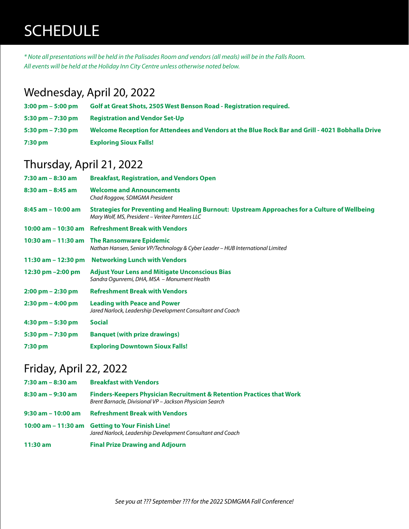# SCHEDULE

*\* Note all presentations will be held in the Palisades Room and vendors (all meals) will be in the Falls Room. All events will be held at the Holiday Inn City Centre unless otherwise noted below.*

# Wednesday, April 20, 2022

| $3:00 \text{ pm} - 5:00 \text{ pm}$ | Golf at Great Shots, 2505 West Benson Road - Registration required.                              |
|-------------------------------------|--------------------------------------------------------------------------------------------------|
| $5:30 \text{ pm} - 7:30 \text{ pm}$ | <b>Registration and Vendor Set-Up</b>                                                            |
| 5:30 pm $- 7:30$ pm                 | Welcome Reception for Attendees and Vendors at the Blue Rock Bar and Grill - 4021 Bobhalla Drive |
| 7:30 pm                             | <b>Exploring Sioux Falls!</b>                                                                    |

# Thursday, April 21, 2022

| $7:30$ am $-8:30$ am                | <b>Breakfast, Registration, and Vendors Open</b>                                                                                                 |
|-------------------------------------|--------------------------------------------------------------------------------------------------------------------------------------------------|
| $8:30$ am $-8:45$ am                | <b>Welcome and Announcements</b><br>Chad Roggow, SDMGMA President                                                                                |
| $8:45$ am $-10:00$ am               | Strategies for Preventing and Healing Burnout: Upstream Approaches for a Culture of Wellbeing<br>Mary Wolf, MS, President - Veritee Parnters LLC |
|                                     | 10:00 am – 10:30 am Refreshment Break with Vendors                                                                                               |
|                                     | 10:30 am – 11:30 am The Ransomware Epidemic<br>Nathan Hansen, Senior VP/Technology & Cyber Leader - HUB International Limited                    |
|                                     | 11:30 am - 12:30 pm Networking Lunch with Vendors                                                                                                |
| 12:30 pm $-2:00$ pm                 | <b>Adjust Your Lens and Mitigate Unconscious Bias</b><br>Sandra Ogunremi, DHA, MSA - Monument Health                                             |
| $2:00 \text{ pm} - 2:30 \text{ pm}$ | <b>Refreshment Break with Vendors</b>                                                                                                            |
| $2:30 \text{ pm} - 4:00 \text{ pm}$ | <b>Leading with Peace and Power</b><br>Jared Narlock, Leadership Development Consultant and Coach                                                |
| $4:30$ pm $-5:30$ pm                | <b>Social</b>                                                                                                                                    |
| $5:30 \text{ pm} - 7:30 \text{ pm}$ | <b>Banquet (with prize drawings)</b>                                                                                                             |
| $7:30$ pm                           | <b>Exploring Downtown Sioux Falls!</b>                                                                                                           |

# Friday, April 22, 2022

| 7:30 am - 8:30 am  | <b>Breakfast with Vendors</b>                                                                                                                |
|--------------------|----------------------------------------------------------------------------------------------------------------------------------------------|
| 8:30 am - 9:30 am  | <b>Finders-Keepers Physician Recruitment &amp; Retention Practices that Work</b><br>Brent Barnacle, Divisional VP - Jackson Physician Search |
| 9:30 am - 10:00 am | <b>Refreshment Break with Vendors</b>                                                                                                        |
|                    | 10:00 am - 11:30 am Getting to Your Finish Line!<br>Jared Narlock, Leadership Development Consultant and Coach                               |
| $11:30$ am         | <b>Final Prize Drawing and Adjourn</b>                                                                                                       |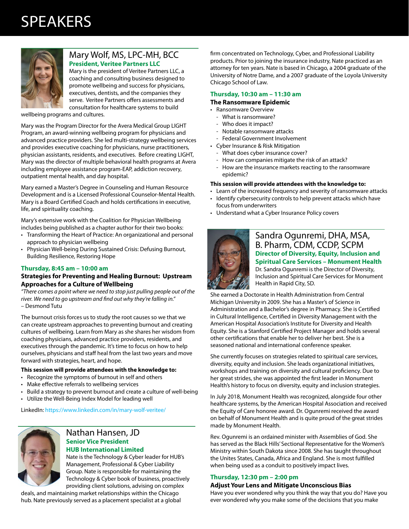# SPEAKERS



# Mary Wolf, MS, LPC-MH, BCC **President, Veritee Partners LLC**

Mary is the president of Veritee Partners LLC, a coaching and consulting business designed to promote wellbeing and success for physicians, executives, dentists, and the companies they serve. Veritee Partners offers assessments and consultation for healthcare systems to build

wellbeing programs and cultures.

Mary was the Program Director for the Avera Medical Group LIGHT Program, an award-winning wellbeing program for physicians and advanced practice providers. She led multi-strategy wellbeing services and provides executive coaching for physicians, nurse practitioners, physician assistants, residents, and executives. Before creating LIGHT, Mary was the director of multiple behavioral health programs at Avera including employee assistance program-EAP, addiction recovery, outpatient mental health, and day hospital.

Mary earned a Master's Degree in Counseling and Human Resource Development and is a Licensed Professional Counselor-Mental Health. Mary is a Board Certified Coach and holds certifications in executive, life, and spirituality coaching.

Mary's extensive work with the Coalition for Physician Wellbeing includes being published as a chapter author for their two books:

- Transforming the Heart of Practice: An organizational and personal approach to physician wellbeing
- Physician Well-being During Sustained Crisis: Defusing Burnout, Building Resilience, Restoring Hope

## **Thursday, 8:45 am – 10:00 am**

### **Strategies for Preventing and Healing Burnout: Upstream Approaches for a Culture of Wellbeing**

*"There comes a point where we need to stop just pulling people out of the river. We need to go upstream and find out why they're falling in."*  – Desmond Tutu

The burnout crisis forces us to study the root causes so we that we can create upstream approaches to preventing burnout and creating cultures of wellbeing. Learn from Mary as she shares her wisdom from coaching physicians, advanced practice providers, residents, and executives through the pandemic. It's time to focus on how to help ourselves, physicians and staff heal from the last two years and move forward with strategies, heart, and hope.

#### **This session will provide attendees with the knowledge to:**

- Recognize the symptoms of burnout in self and others
- Make effective referrals to wellbeing services
- Build a strategy to prevent burnout and create a culture of well-being
- Utilize the Well-Being Index Model for leading well

LinkedIn: https://www.linkedin.com/in/mary-wolf-veritee/

# Nathan Hansen, JD **Senior Vice President HUB International Limited**

Nate is the Technology & Cyber leader for HUB's Management, Professional & Cyber Liability Group. Nate is responsible for maintaining the Technology & Cyber book of business, proactively providing client solutions, advising on complex

deals, and maintaining market relationships within the Chicago hub. Nate previously served as a placement specialist at a global firm concentrated on Technology, Cyber, and Professional Liability products. Prior to joining the insurance industry, Nate practiced as an attorney for ten years. Nate is based in Chicago, a 2004 graduate of the University of Notre Dame, and a 2007 graduate of the Loyola University Chicago School of Law.

### **Thursday, 10:30 am – 11:30 am**

### **The Ransomware Epidemic**

- Ransomware Overview
	- What is ransomware?
	- Who does it impact?
	- Notable ransomware attacks
	- Federal Government Involvement
- Cyber Insurance & Risk Mitigation
	- What does cyber insurance cover?
	- How can companies mitigate the risk of an attack?
	- How are the insurance markets reacting to the ransomware epidemic?

#### **This session will provide attendees with the knowledge to:**

- Learn of the increased frequency and severity of ransomware attacks
- Identify cybersecurity controls to help prevent attacks which have focus from underwriters
- Understand what a Cyber Insurance Policy covers



# Sandra Ogunremi, DHA, MSA, B. Pharm, CDM, CCDP, SCPM **Director of Diversity, Equity, Inclusion and Spiritual Care Services – Monument Health** Dr. Sandra Ogunremi is the Director of Diversity, Inclusion and Spiritual Care Services for Monument Health in Rapid City, SD.

She earned a Doctorate in Health Administration from Central Michigan University in 2009. She has a Master's of Science in Administration and a Bachelor's degree in Pharmacy. She is Certified in Cultural Intelligence, Certified in Diversity Management with the American Hospital Association's Institute for Diversity and Health Equity. She is a Stanford Certified Project Manager and holds several other certifications that enable her to deliver her best. She is a seasoned national and international conference speaker.

She currently focuses on strategies related to spiritual care services, diversity, equity and inclusion. She leads organizational initiatives, workshops and training on diversity and cultural proficiency. Due to her great strides, she was appointed the first leader in Monument Health's history to focus on diversity, equity and inclusion strategies.

In July 2018, Monument Health was recognized, alongside four other healthcare systems, by the American Hospital Association and received the Equity of Care honoree award. Dr. Ogunremi received the award on behalf of Monument Health and is quite proud of the great strides made by Monument Health.

Rev. Ogunremi is an ordained minister with Assemblies of God. She has served as the Black Hills' Sectional Representative for the Women's Ministry within South Dakota since 2008. She has taught throughout the Unites States, Canada, Africa and England. She is most fulfilled when being used as a conduit to positively impact lives.

### **Thursday, 12:30 pm – 2:00 pm**

### **Adjust Your Lens and Mitigate Unconscious Bias**

Have you ever wondered why you think the way that you do? Have you ever wondered why you make some of the decisions that you make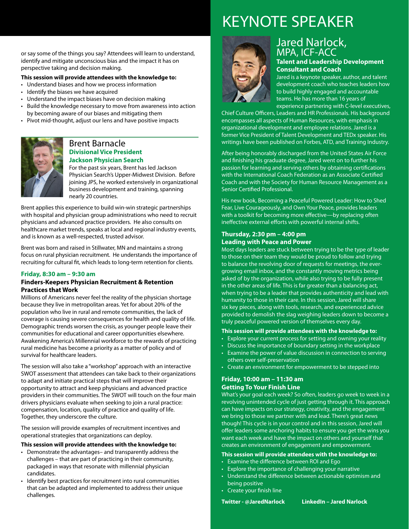# KEYNOTE SPEAKER



# Jared Narlock, MPA, ICF-ACC **Talent and Leadership Development**

**Consultant and Coach**

Jared is a keynote speaker, author, and talent development coach who teaches leaders how to build highly engaged and accountable teams. He has more than 16 years of experience partnering with C-level executives,

Chief Culture Officers, Leaders and HR Professionals. His background encompasses all aspects of Human Resources, with emphasis in organizational development and employee relations. Jared is a former Vice President of Talent Development and TEDx speaker. His writings have been published on Forbes, ATD, and Training Industry.

After being honorably discharged from the United States Air Force and finishing his graduate degree, Jared went on to further his passion for learning and serving others by obtaining certifications with the International Coach Federation as an Associate Certified Coach and with the Society for Human Resource Management as a Senior Certified Professional.

His new book, Becoming a Peaceful Powered Leader: How to Shed Fear, Live Courageously, and Own Your Peace, provides leaders with a toolkit for becoming more effective—by replacing often ineffective external efforts with powerful internal shifts.

### **Thursday, 2:30 pm – 4:00 pm Leading with Peace and Power**

Most days leaders are stuck between trying to be the type of leader to those on their team they would be proud to follow and trying to balance the revolving door of requests for meetings, the evergrowing email inbox, and the constantly moving metrics being asked of by the organization, while also trying to be fully present in the other areas of life. This is far greater than a balancing act, when trying to be a leader that provides authenticity and lead with humanity to those in their care. In this session, Jared will share six key pieces, along with tools, research, and experienced advice provided to demolish the slag weighing leaders down to become a truly peaceful powered version of themselves every day.

### **This session will provide attendees with the knowledge to:**

- Explore your current process for setting and owning your reality
- Discuss the importance of boundary setting in the workplace
- Examine the power of value discussion in connection to serving others over self-preservation
- Create an environment for empowerment to be stepped into

# **Friday, 10:00 am – 11:30 am Getting To Your Finish Line**

What's your goal each week? So often, leaders go week to week in a revolving unintended cycle of just getting through it. This approach can have impacts on our strategy, creativity, and the engagement we bring to those we partner with and lead. There's great news though! This cycle is in your control and in this session, Jared will offer leaders some anchoring habits to ensure you get the wins you want each week and have the impact on others and yourself that creates an environment of engagement and empowerment.

#### **This session will provide attendees with the knowledge to:**

- Examine the difference between ROI and Ego
- Explore the importance of challenging your narrative
- Understand the difference between actionable optimism and being positive
- Create your finish line

**Twitter - @JaredNarlock LinkedIn – Jared Narlock**

or say some of the things you say? Attendees will learn to understand, identify and mitigate unconscious bias and the impact it has on perspective taking and decision making.

### **This session will provide attendees with the knowledge to:**

- Understand biases and how we process information
- Identify the biases we have acquired
- Understand the impact biases have on decision making
- Build the knowledge necessary to move from awareness into action by becoming aware of our biases and mitigating them
- Pivot mid-thought, adjust our lens and have positive impacts



# Brent Barnacle **Divisional Vice President Jackson Physician Search**

For the past six years, Brent has led Jackson Physician Search's Upper-Midwest Division. Before joining JPS, he worked extensively in organizational business development and training, spanning nearly 20 countries.

Brent applies this experience to build win-win strategic partnerships with hospital and physician group administrations who need to recruit physicians and advanced practice providers. He also consults on healthcare market trends, speaks at local and regional industry events, and is known as a well-respected, trusted advisor.

Brent was born and raised in Stillwater, MN and maintains a strong focus on rural physician recruitment. He understands the importance of recruiting for cultural fit, which leads to long-term retention for clients.

## **Friday, 8:30 am – 9:30 am**

### **Finders-Keepers Physician Recruitment & Retention Practices that Work**

Millions of Americans never feel the reality of the physician shortage because they live in metropolitan areas. Yet for about 20% of the population who live in rural and remote communities, the lack of coverage is causing severe consequences for health and quality of life. Demographic trends worsen the crisis, as younger people leave their communities for educational and career opportunities elsewhere. Awakening America's Millennial workforce to the rewards of practicing rural medicine has become a priority as a matter of policy and of survival for healthcare leaders.

The session will also take a "workshop" approach with an interactive SWOT assessment that attendees can take back to their organizations to adapt and initiate practical steps that will improve their opportunity to attract and keep physicians and advanced practice providers in their communities. The SWOT will touch on the four main drivers physicians evaluate when seeking to join a rural practice: compensation, location, quality of practice and quality of life. Together, they underscore the culture.

The session will provide examples of recruitment incentives and operational strategies that organizations can deploy.

# **This session will provide attendees with the knowledge to:**

- Demonstrate the advantages– and transparently address the challenges – that are part of practicing in their community, packaged in ways that resonate with millennial physician candidates.
- Identify best practices for recruitment into rural communities that can be adapted and implemented to address their unique challenges.